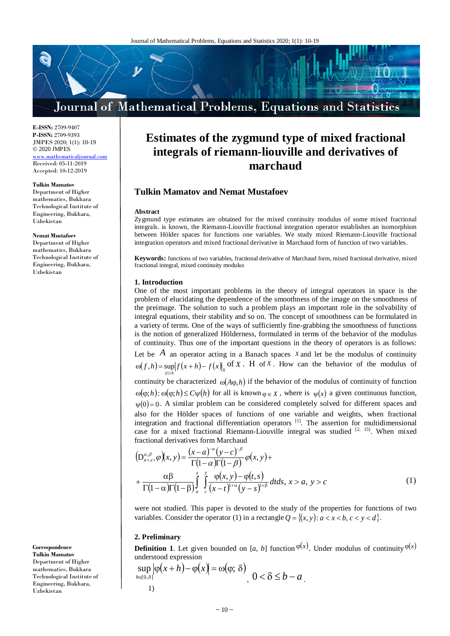# Journal of Mathematical Problems, Equations and Statistics

**E-ISSN:** 2709-9407 **P-ISSN:** 2709-9393 JMPES 2020; 1(1): 10-19 © 2020 JMPES .mathematicaliourn

Received: 05-11-2019 Accepted: 10-12-2019

#### **Tulkin Mamatov**

Department of Higher mathematics, Bukhara Technological Institute of Engineering, Bukhara, Uzbekistan

#### **Nemat Mustafoev**

Department of Higher mathematics, Bukhara Technological Institute of Engineering, Bukhara, Uzbekistan

**Correspondence Tulkin Mamatov** Department of Higher mathematics, Bukhara Technological Institute of Engineering, Bukhara, Uzbekistan

# **Estimates of the zygmund type of mixed fractional integrals of riemann-liouville and derivatives of marchaud**

### **Tulkin Mamatov and Nemat Mustafoev**

#### **Abstract**

Zygmund type estimates are obtained for the mixed continuity modulus of some mixed fractional integrals. is known, the Riemann-Liouville fractional integration operator establishes an isomorphism between Hölder spaces for functions one variables. We study mixed Riemann-Liouville fractional integration operators and mixed fractional derivative in Marchaud form of function of two variables.

**Keywords:** functions of two variables, fractional derivative of Marchaud form, mixed fractional derivative, mixed fractional integral, mixed continuity modulus

#### **1. Introduction**

One of the most important problems in the theory of integral operators in space is the problem of elucidating the dependence of the smoothness of the image on the smoothness of the preimage. The solution to such a problem plays an important role in the solvability of integral equations, their stability and so on. The concept of smoothness can be formulated in a variety of terms. One of the ways of sufficiently fine-grabbing the smoothness of functions is the notion of generalized Hölderness, formulated in terms of the behavior of the modulus of continuity. Thus one of the important questions in the theory of operators is as follows: Let be  $\hat{A}$  an operator acting in a Banach spaces  $\hat{X}$  and let be the modulus of continuity

 $\omega(f, h) = \sup_{|t| \le h} |f(x+h) - f(x)|$  of *X*. H of *X*. How can the behavior of the modulus of

continuity be characterized  $\omega(A\varphi,h)$  if the behavior of the modulus of continuity of function  $ω(φ; h): ω(φ; h) ≤ Cψ(h)$  for all is known  $φ ∈ X$ , where is  $ψ(x)$  a given continuous function,  $\psi(0) = 0$ . A similar problem can be considered completely solved for different spaces and also for the Hölder spaces of functions of one variable and weights, when fractional integration and fractional differentiation operators [1]. The assertion for multidimensional case for a mixed fractional Riemann-Liouville integral was studied  $[2, 15]$ . When mixed fractional derivatives form Marchaud

$$
\left(D_{a+,c+}^{\alpha,\beta}\varphi\right)(x,y) = \frac{(x-a)^{-\alpha}(y-c)^{-\beta}}{\Gamma(1-\alpha)\Gamma(1-\beta)}\varphi(x,y)+
$$
  
 
$$
+\frac{\alpha\beta}{\Gamma(1-\alpha)\Gamma(1-\beta)}\int_{a}^{x} \int_{c}^{y} \frac{\varphi(x,y)-\varphi(t,s)}{(x-t)^{1+\alpha}(y-s)^{1+\beta}}dt ds, x > a, y > c
$$
 (1)

were not studied. This paper is devoted to the study of the properties for functions of two variables. Consider the operator (1) in a rectangle  $Q = \{(x, y): a < x < b, c < y < d\}$ .

#### **2. Preliminary**

**Definition 1**. Let given bounded on [*a*, *b*] function  $\varphi(x)$ . Under modulus of continuity  $\varphi(x)$ understood expression

 $\varphi(x+h)-\varphi(x)=\omega(\varphi;\delta)$  $v∈[0,δ$  $\sup |\varphi(x+h)-\varphi(x)| = \omega(\varphi;$  $[0, \delta]$  $(x+h)-\varphi(x)$  $h_{h\in[0,\delta]}$   $h_{h\in[0,\delta]}$   $h_{h\in[0,\delta]}$   $0 < \delta \leq b - a$ . 1)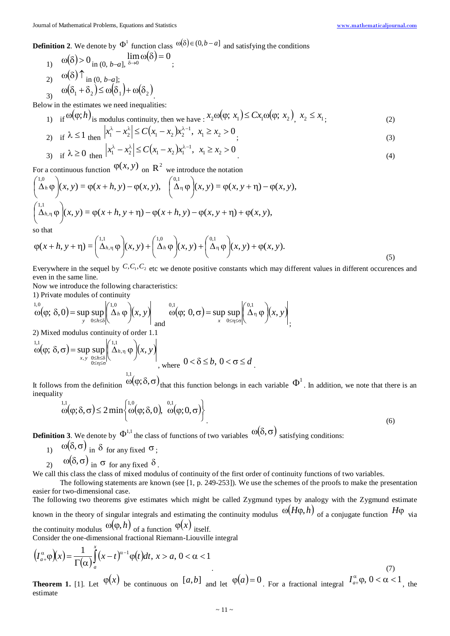**Definition 2**. We denote by  $\Phi^1$  function class  $\omega(\delta) \in (0,b-a]$  and satisfying the conditions

1)  $\omega(\delta) > 0$  in (0, *b*-*a*],  $\delta \to 0$  in  $\omega(\delta) = 0$ ; 2)  $\omega(\delta) \uparrow$  in (0, *b*-*a*]; 3)  $\omega(\delta_1 + \delta_2) \le \omega(\delta_1) + \omega(\delta_2)$ .

Below in the estimates we need inequalities:

1) if  $\omega(\varphi; h)$  is modulus continuity, then we have  $: x_2 \omega(\varphi; x_1) \leq C x_1 \omega(\varphi; x_2), x_2 \leq x_1$  $(2)$ 

2) if 
$$
\lambda \le 1
$$
 then  $|x_1^{\lambda} - x_2^{\lambda}| \le C(x_1 - x_2)x_2^{\lambda - 1}, x_1 \ge x_2 > 0$  (3)

3) if 
$$
\lambda \ge 0
$$
 then  $|x_1^{\lambda} - x_2^{\lambda}| \le C(x_1 - x_2)x_1^{\lambda - 1}, \quad x_1 \ge x_2 > 0$  (4)

For a continuous function  $\varphi(x, y)$  on  $R^2$  we introduce the notation

$$
\begin{pmatrix}\n1.0 \\
\Delta_h \varphi\n\end{pmatrix}(x, y) = \varphi(x + h, y) - \varphi(x, y), \quad\n\begin{pmatrix}\n0.1 \\
\Delta_\eta \varphi\n\end{pmatrix}(x, y) = \varphi(x, y + \eta) - \varphi(x, y),
$$
\n
$$
\begin{pmatrix}\n1.1 \\
\Delta_{h, \eta} \varphi\n\end{pmatrix}(x, y) = \varphi(x + h, y + \eta) - \varphi(x + h, y) - \varphi(x, y + \eta) + \varphi(x, y),
$$
\nso that\n
$$
\begin{pmatrix}\n1.0 \\
\Delta_h \varphi\n\end{pmatrix}(x, y) = \frac{\varphi(x + h, y + \eta)}{\varphi(x, y + \eta)} - \frac{\varphi(x, y + \eta)}{\varphi(x, y + \eta)}.
$$

$$
\varphi(x+h, y+\eta) = \left(\begin{array}{c}1,1\\ \Delta_{h,\eta}\end{array}\varphi\right)(x, y) + \left(\begin{array}{c}1,0\\ \Delta_h\end{array}\varphi\right)(x, y) + \left(\begin{array}{c}0,1\\ \Delta_{\eta}\end{array}\varphi\right)(x, y) + \varphi(x, y). \tag{5}
$$

Everywhere in the sequel by  $C, C_1, C_2$  etc we denote positive constants which may different values in different occurences and even in the same line.

Now we introduce the following characteristics:

1) Private modules of continuity

$$
\omega(\varphi; \delta, 0) = \sup_{y} \sup_{0 \le h \le \delta} \left| \left( \Delta_h \varphi \right) (x, y) \right| \quad \omega(\varphi; 0, \sigma) = \sup_{x} \sup_{0 \le \eta \le \sigma} \left| \left( \Delta_\eta \varphi \right) (x, y) \right|,
$$

2) Mixed modulus continuity of order 1.1

$$
\int_{\alpha}^{1,1} \varpi(\varphi; \delta, \sigma) = \sup_{x, y} \sup_{\substack{0 \le h \le \delta \\ 0 \le \eta \le \sigma}} \left| \left( \frac{\Lambda_{h, \eta}}{\Lambda_{h, \eta}} \varphi \right) (x, y) \right|, \text{ where } 0 < \delta \le b, 0 < \sigma \le d
$$

It follows from the definition  $\omega(\varphi;\delta,\sigma)$ <sub>that this function belongs in each variable  $\Phi^1$ . In addition, we note that there is an</sub> inequality

$$
\omega(\varphi; \delta, \sigma) \le 2 \min \left\{ \omega(\varphi; \delta, 0), \omega(\varphi; 0, \sigma) \right\} \tag{6}
$$

**Definition 3**. We denote by  $\Phi^{1,1}$  the class of functions of two variables  $\omega(\delta,\sigma)$  satisfying conditions:

- 1)  $\omega(\delta, \sigma)$  in  $\delta$  for any fixed  $\sigma$ ;
- 2)  $\omega(\delta, \sigma)$  in  $\sigma$  for any fixed  $\delta$ .

We call this class the class of mixed modulus of continuity of the first order of continuity functions of two variables.

The following statements are known (see [1, p. 249-253]). We use the schemes of the proofs to make the presentation easier for two-dimensional case.

The following two theorems give estimates which might be called Zygmund types by analogy with the Zygmund estimate known in the theory of singular integrals and estimating the continuity modulus  $\omega(H\varphi,h)$  of a conjugate function  $H\varphi$  via the continuity modulus  $\omega(\varphi, h)$  of a function  $\varphi(x)$  itself.

Consider the one-dimensional fractional Riemann-Liouville integral

$$
\left(I_{a+}^{\alpha}\varphi\right)(x) = \frac{1}{\Gamma(\alpha)}\int_{a}^{x} (x-t)^{\alpha-1}\varphi(t)dt, \ x > a, \ 0 < \alpha < 1
$$
\n<sup>(7)</sup>\n
$$
\varphi(x) = \frac{\Gamma(\alpha+1)}{\Gamma(\alpha+1)}\varphi(x) \tag{7}
$$

**Theorem 1.** [1]. Let  $\varphi(x)$  be continuous on  $[a,b]$  and let  $\varphi(a)=0$ . For a fractional integral  $I_{a+}^{\alpha}\varphi$ ,  $0<\alpha<1$ , the estimate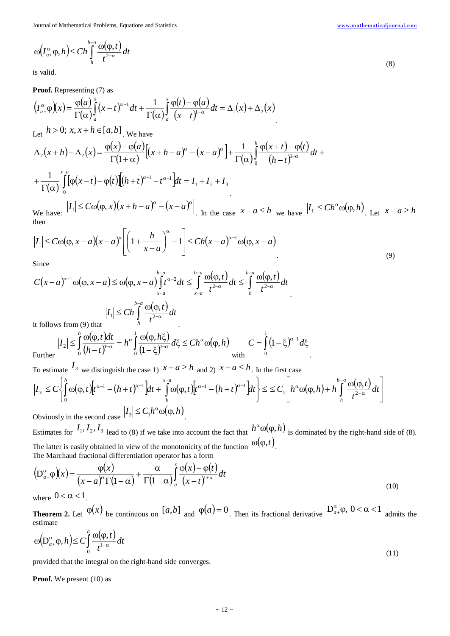$$
(\mathbf{8})
$$

 $(I_{a+}^{\alpha} \varphi, h) \leq C h \int_{0}^{b-a} \frac{\omega(\varphi, t)}{t^{2-\alpha}}$ −α α  $\omega(I_{a+}^{\alpha} \varphi, h) \leq C h \int_{a}^{b-a} \frac{\omega(\varphi)}{h}$ *h*  $\left(I_{a+}^{\alpha} \varphi, h\right) \leq C h \int\limits_{h}^{b-a} \frac{\omega(\varphi, t)}{t^{2-\alpha}} dt$ 

is valid.

## **Proof.** Representing (7) as

$$
(I_{a+}^{\alpha}\varphi)(x) = \frac{\varphi(a)}{\Gamma(\alpha)}\int_{a}^{x} (x-t)^{\alpha-1} dt + \frac{1}{\Gamma(\alpha)}\int_{a}^{x} \frac{\varphi(t) - \varphi(a)}{(x-t)^{1-\alpha}} dt = \Delta_{1}(x) + \Delta_{2}(x)
$$
  
Let  $h > 0$ ;  $x, x + h \in [a, b]$ . We have  

$$
\Delta_{2}(x+h) - \Delta_{2}(x) = \frac{\varphi(x) - \varphi(a)}{\Gamma(1+\alpha)} \Big[(x+h-a)^{\alpha} - (x-a)^{\alpha}\Big] + \frac{1}{\Gamma(\alpha)}\int_{0}^{h} \frac{\varphi(x+t) - \varphi(t)}{(h-t)^{1-\alpha}} dt +
$$

$$
+ \frac{1}{\Gamma(\alpha)}\int_{0}^{x-a} [\varphi(x-t) - \varphi(t)][(h+t)^{\alpha-1} - t^{\alpha-1}]dt = I_{1} + I_{2} + I_{3}
$$
  
We have:  $|I_{1}| \leq C\omega(\varphi, x) \Big[(x+h-a)^{\alpha} - (x-a)^{\alpha}\Big]$ . In the case  $x-a \leq h$  we have  $|I_{1}| \leq Ch^{\alpha}\omega(\varphi, h)$ . Let  $x-a \geq h$ 

then  $\overline{\phantom{0}}$ 

$$
|I_1| \leq C\omega(\varphi, x - a)(x - a)^{\alpha} \left[ \left( 1 + \frac{h}{x - a} \right)^{\alpha} - 1 \right] \leq Ch(x - a)^{\alpha - 1} \omega(\varphi, x - a)
$$
\n<sup>(9)</sup>

Since

$$
C(x-a)^{\alpha-1}\omega(\varphi, x-a) \le \omega(\varphi, x-a) \int_{x-a}^{b-a} t^{\alpha-2} dt \le \int_{x-a}^{b-a} \frac{\omega(\varphi, t)}{t^{2-\alpha}} dt \le \int_{h}^{b-a} \frac{\omega(\varphi, t)}{t^{2-\alpha}} dt
$$
  
It follows from (9) that  

$$
|I_1| \le Ch \int_{h}^{b-a} \frac{\omega(\varphi, t)}{t^{2-\alpha}} dt
$$

It follows from (9) that

$$
|I_2| \leq \int_0^h \frac{\omega(\varphi, t)dt}{(h-t)^{1-\alpha}} = h^{\alpha} \int_0^1 \frac{\omega(\varphi, h\xi)}{(1-\xi)^{1-\alpha}} d\xi \leq Ch^{\alpha} \omega(\varphi, h) \qquad C = \int_0^1 (1-\xi)^{\alpha-1} d\xi
$$

Furt

To estimate  $I_3$  we distinguish the case 1)  $x - a \ge h$  and 2)  $x - a \le h$ . In the first case

$$
\left|I_{3}\right| \leq C\left\{\int_{0}^{h}\omega(\varphi,t)\left[t^{\alpha-1}-(h+t)^{\alpha-1}\right]dt+\int_{h}^{x-a}\omega(\varphi,t)\left[t^{\alpha-1}-(h+t)^{\alpha-1}\right]dt\right\} \leq \leq C_{2}\left[h^{\alpha}\omega(\varphi,h)+h\int_{h}^{b-a}\frac{\omega(\varphi,t)}{t^{2-\alpha}}dt\right]
$$
  
Obviously in the second case  $|I_{3}| \leq C_{1}h^{\alpha}\omega(\varphi,h)$ .

Estimates for  $I_1, I_2, I_3$  lead to (8) if we take into account the fact that  $h^{\alpha} \omega(\varphi, h)$  is dominated by the right-hand side of (8). The latter is easily obtained in view of the monotonicity of the function  $\omega(\varphi, t)$ . The Marchaud fractional differentiation operator has a form

.

$$
\left(\mathbf{D}_{a+}^{\alpha}\varphi\right)(x) = \frac{\varphi(x)}{(x-a)^{\alpha}\Gamma(1-\alpha)} + \frac{\alpha}{\Gamma(1-\alpha)}\int_{a}^{x}\frac{\varphi(x)-\varphi(t)}{(x-t)^{1+\alpha}}dt
$$
\n(10)

where  $0 < \alpha < 1$ .

**Theorem 2.** Let  $\varphi(x)$  be continuous on  $[a,b]$  and  $\varphi(a)=0$ . Then its fractional derivative  $D_{a+}^{\alpha}\varphi$ ,  $0<\alpha<1$  admits the estimate

$$
\omega\left(D_{a+}^{\alpha}\varphi,h\right)\leq C\int_{0}^{h}\frac{\omega(\varphi,t)}{t^{1+\alpha}}dt
$$
\n(11)

provided that the integral on the right-hand side converges.

**Proof.** We present (10) as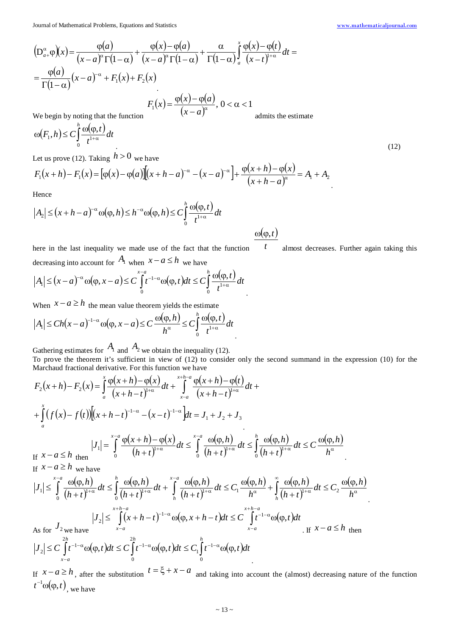Journal of Mathematical Problems, Equations and Statistics [www.mathematicaljournal.com](file://server/test/mathematicaljournal.com/issue/1%20Vol/1%20issue/www.mathematicaljournal.com)

$$
\left(D_{a+}^{\alpha}\varphi\right)(x) = \frac{\varphi(a)}{(x-a)^{\alpha}\Gamma(1-\alpha)} + \frac{\varphi(x)-\varphi(a)}{(x-a)^{\alpha}\Gamma(1-\alpha)} + \frac{\alpha}{\Gamma(1-\alpha)}\int_{a}^{x}\frac{\varphi(x)-\varphi(t)}{(x-t)^{1+\alpha}}dt =
$$
\n
$$
= \frac{\varphi(a)}{\Gamma(1-\alpha)}(x-a)^{-\alpha} + F_1(x) + F_2(x)
$$
\n
$$
F_1(x) = \frac{\varphi(x)-\varphi(a)}{(x-a)^{\alpha}}, \quad 0 < \alpha < 1
$$
\nWe begin by noting that the function

We begin by noting that the function

admits the estimate

 $\omega(\varphi, t)$ 

$$
\omega(F_1, h) \le C \int_0^h \frac{\omega(\varphi, t)}{t^{1+\alpha}} dt
$$
  
Let us prove (12) Taking  $h > 0$  we have

Let us prove (12). Taking *h* > 0 we have

$$
F_1(x+h) - F_1(x) = [\varphi(x) - \varphi(a)][(x+h-a)^{-\alpha} - (x-a)^{-\alpha}] + \frac{\varphi(x+h) - \varphi(x)}{(x+h-a)^{\alpha}} = A_1 + A_2
$$

Hence

$$
|A_2| \le (x+h-a)^{-\alpha} \omega(\varphi,h) \le h^{-\alpha} \omega(\varphi,h) \le C \int_0^h \frac{\omega(\varphi,t)}{t^{1+\alpha}} dt
$$

here in the last inequality we made use of the fact that the function *t* almost decreases. Further again taking this decreasing into account for  $A_1$  when  $x - a \leq h$  we have

.

$$
|A_1| \le (x-a)^{-\alpha} \omega(\varphi, x-a) \le C \int_0^{x-a} t^{-1-\alpha} \omega(\varphi, t) dt \le C \int_0^h \frac{\omega(\varphi, t)}{t^{1+\alpha}} dt
$$

When  $x - a \geq h$  the mean value theorem yields the estimate

$$
|A_1| \le Ch(x-a)^{-1-\alpha} \omega(\varphi, x-a) \le C \frac{\omega(\varphi, h)}{h^{\alpha}} \le C \int_0^h \frac{\omega(\varphi, t)}{t^{1+\alpha}} dt
$$

Gathering estimates for  $A_1$  and  $A_2$  we obtain the inequality (12).

To prove the theorem it's sufficient in view of (12) to consider only the second summand in the expression (10) for the Marchaud fractional derivative. For this function we have

$$
F_2(x+h) - F_2(x) = \int_a^x \frac{\varphi(x+h) - \varphi(x)}{(x+h-t)^{1+\alpha}} dt + \int_{x-a}^{x+h-a} \frac{\varphi(x+h) - \varphi(t)}{(x+h-t)^{1+\alpha}} dt +
$$
  
+ 
$$
\int_a^x (f(x) - f(t))[(x+h-t)^{-1-\alpha} - (x-t)^{-1-\alpha}] dt = J_1 + J_2 + J_3
$$
  
If  $x-a \le h$  then  
If  $x-a \le h$  we have  

$$
F_1(x) = \int_0^{x-a} \frac{\varphi(x+h) - \varphi(x)}{(h+t)^{1+\alpha}} dt \le \int_0^x \frac{\varphi(\varphi,h)}{(h+t)^{1+\alpha}} dt \le \int_0^h \frac{\varphi(\varphi,h)}{(h+t)^{1+\alpha}} dt \le C \frac{\varphi(\varphi,h)}{h^{\alpha}}.
$$

$$
\left|J_{1}\right| \leq \int_{0}^{x-a} \frac{\omega(\varphi,h)}{(h+t)^{1+\alpha}} dt \leq \int_{0}^{h} \frac{\omega(\varphi,h)}{(h+t)^{1+\alpha}} dt + \int_{h}^{x-a} \frac{\omega(\varphi,h)}{(h+t)^{1+\alpha}} dt \leq C_{1} \frac{\omega(\varphi,h)}{h^{\alpha}} + \int_{h}^{\infty} \frac{\omega(\varphi,h)}{(h+t)^{1+\alpha}} dt \leq C_{2} \frac{\omega(\varphi,h)}{h^{\alpha}}
$$
\nAs for  $J_{2}$  we have\n
$$
\left|J_{2}\right| \leq \int_{x-a}^{x+h-a} (x+h-t)^{-1-\alpha} \omega(\varphi,x+h-t) dt \leq C \int_{x-a}^{x+h-a} t^{-1-\alpha} \omega(\varphi,t) dt
$$
\nIf  $x-a \leq h$  then\n
$$
\left|J_{2}\right| \leq C \int_{x-a}^{2h} t^{-1-\alpha} \omega(\varphi,t) dt \leq C \int_{0}^{h} t^{-1-\alpha} \omega(\varphi,t) dt \leq C_{1} \int_{0}^{h} t^{-1-\alpha} \omega(\varphi,t) dt
$$

If  $x - a \ge h$ , after the substitution  $t = \xi + x - a$  and taking into account the (almost) decreasing nature of the function  $t^{-1} \omega(\varphi, t)$ <sub>, we have</sub>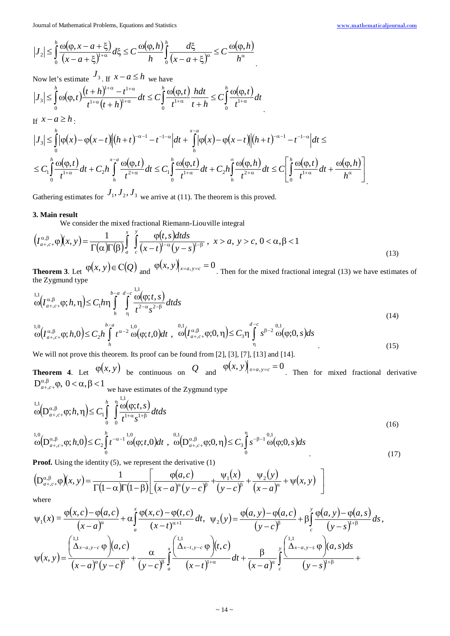$$
\left|J_{2}\right| \leq \int_{0}^{h} \frac{\omega(\varphi, x - a + \xi)}{(x - a + \xi)^{1+\alpha}} d\xi \leq C \frac{\omega(\varphi, h)}{h} \int_{0}^{h} \frac{d\xi}{(x - a + \xi)^{\alpha}} \leq C \frac{\omega(\varphi, h)}{h^{\alpha}}
$$

Now let's estimate  $J_3$ . If  $x - a \le h$  we have

$$
\left|J_3\right| \leq \int_0^h \omega(\varphi, t) \frac{(t+h)^{1+\alpha} - t^{1+\alpha}}{t^{1+\alpha}(t+h)^{1+\alpha}} dt \leq C \int_0^h \frac{\omega(\varphi, t)}{t^{1+\alpha}} \frac{h dt}{t+h} \leq C \int_0^h \frac{\omega(\varphi, t)}{t^{1+\alpha}} dt
$$
  
If  $x - a \geq h$ .

$$
\begin{split}\n|J_{3}| &\leq \int_{0}^{h} |\varphi(x)-\varphi(x-t)||(h+t)^{-\alpha-1}-t^{-1-\alpha}|dt + \int_{h}^{x-a} |\varphi(x)-\varphi(x-t)||(h+t)^{-\alpha-1}-t^{-1-\alpha}|dt \leq \\
&\leq C_{1} \int_{0}^{h} \frac{\omega(\varphi,t)}{t^{1+\alpha}}dt + C_{2}h \int_{h}^{x-a} \frac{\omega(\varphi,t)}{t^{2+\alpha}}dt \leq C_{1} \int_{0}^{h} \frac{\omega(\varphi,t)}{t^{1+\alpha}}dt + C_{2}h \int_{h}^{\infty} \frac{\omega(\varphi,h)}{t^{2+\alpha}}dt \leq C_{1} \int_{0}^{h} \frac{\omega(\varphi,t)}{t^{1+\alpha}}dt + C_{2}h \int_{h}^{\infty} \frac{\omega(\varphi,t)}{t^{2+\alpha}}dt \leq C_{1} \int_{0}^{h} \frac{\omega(\varphi,t)}{t^{1+\alpha}}dt + \frac{\omega(\varphi,h)}{h^{\alpha}}\Bigg]_{x=0}^{h}.\n\end{split}
$$

Gathering estimates for  $J_1, J_2, J_3$  we arrive at (11). The theorem is this proved.

#### **3. Main result**

We consider the mixed fractional Riemann-Liouville integral

$$
\left(I_{a+,c+}^{\alpha,\beta}\varphi\right)(x,y) = \frac{1}{\Gamma(\alpha)\Gamma(\beta)}\int_{a}^{x} \int_{c}^{y} \frac{\varphi(t,s)dtds}{(x-t)^{1-\alpha}(y-s)^{1-\beta}}, \quad x > a, \ y > c, \ 0 < \alpha,\beta < 1
$$
\n
$$
(13)
$$

**Theorem 3**. Let  $\varphi(x, y) \in C(Q)$  and  $\varphi(x, y)$  *x*=*a*, *y*=*c* = 0. Then for the mixed fractional integral (13) we have estimates of the Zygmund type

.

$$
\omega \Big( I_{a+,c+}^{\alpha,\beta} \varphi; h, \eta \Big) \le C_1 h \eta \int_h^{b-a} \int_h^{d-c} \frac{\omega(\varphi;t,s)}{t^{2-\alpha} s^{2-\beta}} dt ds
$$
\n
$$
\omega \Big( I_{a+,c+}^{\alpha,\beta} \varphi; h, \eta \Big) \le C_1 h \eta \int_h^{b-a} \frac{\omega(\varphi;t,s)}{t^{2-\alpha} s^{2-\beta}} dt ds
$$
\n
$$
\omega \Big( 14 \Big)
$$
\n
$$
\omega \Big( 14 \Big)
$$

$$
\omega_{\alpha}^{1,0}\left(I_{a_{+,c+}}^{\alpha,\beta}\varphi;h,0\right) \leq C_{2}h\int_{h}^{b-a}t^{\alpha-2}\omega_{0}^{1,0}(\varphi;t,0)dt \ , \ \omega_{\alpha+,-}^{0,1}\left(I_{a_{+,c+}}^{\alpha,\beta}\varphi;0,\eta\right) \leq C_{3}\eta\int_{\eta}^{a-c}s^{\beta-2}\omega_{0}^{0,1}(\varphi;0,s)ds \tag{15}
$$

We will not prove this theorem. Its proof can be found from [2], [3], [7], [13] and [14].

**Theorem 4.** Let  $\varphi(x, y)$  be continuous on *Q* and  $\varphi(x, y)$  *x*=*a*, *y*=*c* = 0. Then for mixed fractional derivative  $D_{a+,c+}^{\alpha,\beta}\varphi$ ,  $0<\alpha,\beta<1$  we have estimates of the Zygmund type

$$
\omega \left(D_{a+,c+}^{\alpha,\beta}\varphi;h,\eta\right) \leq C_{1} \int_{0}^{h} \int_{0}^{1,1} \frac{\omega(\varphi;t,s)}{t^{1+\alpha}s^{1+\beta}} dt ds
$$
\n
$$
\omega \left(D_{a+,c+}^{\alpha,\beta}\varphi;h,0\right) \leq C_{2} \int_{0}^{h} t^{-\alpha-1} \omega(\varphi;t,0) dt, \quad \omega \left(D_{a+,c+}^{\alpha,\beta}\varphi;0,\eta\right) \leq C_{3} \int_{0}^{\eta} s^{-\beta-1} \omega(\varphi;0,s) ds
$$
\n
$$
(17)
$$

**Proof.** Using the identity (5), we represent the derivative (1)

$$
\left(\mathbf{D}_{a+,c+}^{\alpha,\beta}\varphi\right)(x,y)=\frac{1}{\Gamma(1-\alpha)\Gamma(1-\beta)}\left[\frac{\varphi(a,c)}{(x-a)^{\alpha}(y-c)^{\beta}}+\frac{\psi_1(x)}{(y-c)^{\beta}}+\frac{\psi_2(y)}{(x-a)^{\alpha}}+\psi(x,y)\right]
$$

where

$$
\psi_1(x) = \frac{\varphi(x,c) - \varphi(a,c)}{(x-a)^\alpha} + \alpha \int_a^x \frac{\varphi(x,c) - \varphi(t,c)}{(x-t)^{\alpha+1}} dt, \quad \psi_2(y) = \frac{\varphi(a,y) - \varphi(a,c)}{(y-c)^\beta} + \beta \int_c^y \frac{\varphi(a,y) - \varphi(a,s)}{(y-s)^{1+\beta}} ds,
$$
  

$$
\psi(x,y) = \frac{\left(\Delta_{x-a,y-c}^{1,1} \varphi\right)(a,c)}{(x-a)^\alpha (y-c)^\beta} + \frac{\alpha}{(y-c)^\beta} \int_a^x \frac{\left(\Delta_{x-t,y-c} \varphi\right)(t,c)}{(x-t)^{1+\alpha}} dt + \frac{\beta}{(x-a)^\alpha} \int_c^y \frac{\left(\Delta_{x-a,y-s} \varphi\right)(a,s)ds}{(y-s)^{1+\beta}} dt
$$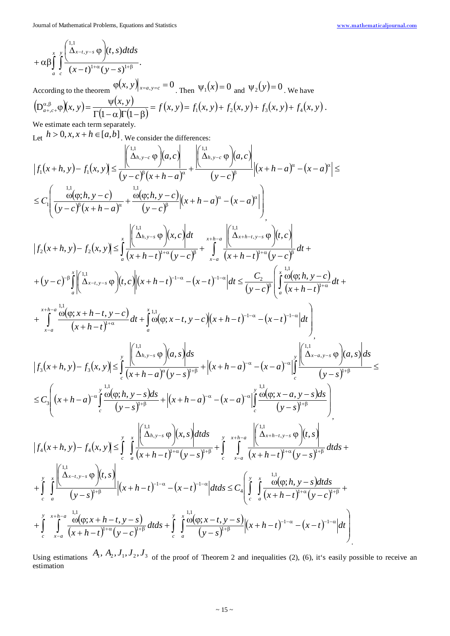$$
+\alpha\beta\int\limits_{a}^{x} \int\limits_{c}^{\int\limits_{0}^{1,1}(\Delta x-t,y-s)\phi} f(t,s)dtds
$$

According to the theorem  $\varphi(x, y)$  *x*=*a*, *y*=*c* = 0. Then  $\psi_1(x) = 0$  and  $\psi_2(y) = 0$ . We have  $(D_{a+,c+}^{\alpha,\beta}\varphi)(x, y) = \frac{\psi(x, y)}{\Gamma(1-\alpha)\Gamma(1-\beta)} = f(x, y) = f_1(x, y) + f_2(x, y) + f_3(x, y) + f_4(x, y).$  $\alpha, \beta, \alpha, \varphi(x, y) = \frac{\Psi}{\Gamma(1-x)}$ We estimate each term separately.

Let  $h > 0, x, x + h \in [a, b]$ . We consider the differences:

$$
|f_1(x+h,y)-f_1(x,y)| \leq \frac{\left|\binom{11}{A_{h,y-c}}\varphi\right|(a,c)}{(y-c)^{\beta}(x+h-a)^{\alpha}} + \frac{\left|\binom{11}{A_{h,y-c}}\varphi\right|(a,c)}{(y-c)^{\beta}} \left|(x+h-a)^{\alpha}-(x-a)^{\alpha}\right| \leq
$$
  
\n
$$
\leq C_1 \left(\frac{\omega(\varphi,h,y-c)}{(y-c)^{\beta}(x+h-a)^{\alpha}} + \frac{\omega(\varphi,h,y-c)}{(y-c)^{\beta}}\left|(x+h-a)^{\alpha}-(x-a)^{\alpha}\right|\right)
$$
  
\n
$$
|f_2(x+h,y)-f_2(x,y)| \leq \int_{a}^{x}\left(\frac{\Delta_{h,y-s}}{\Delta_{h,y-s}}\varphi\right)(x,c)dt \quad x+h-a \atop (x+h-r)^{1-\alpha}(y-c)^{\beta} dt +
$$
  
\n
$$
+ (y-c)^{-\beta}\int_{a}^{x}\left|\binom{\Delta_{h,y-s}}{\Delta_{x-t,y-s}}\varphi\right|(t,c)\left|(x+h-t)^{1-\alpha}-(x-t)^{1-\alpha}\right|dt \leq \frac{C_2}{(y-c)^{\beta}}\left(\int_{a}^{x}\frac{\omega(\varphi,h,y-c)}{(x+h-t)^{1-\alpha}}dt +
$$
  
\n
$$
+ \int_{x-a}^{x+h-a} \frac{\omega(\varphi,x+h-t,y-c)}{\omega(x+h-t)^{1-\alpha}}dt + \int_{a}^{x+h} \omega(\varphi,x-t,y-c)\left|(x+h-t)^{1-\alpha}-(x-t)^{1-\alpha}\right|dt\right)
$$
  
\n
$$
|f_3(x+h,y)-f_3(x,y)| \leq \int_{c}^{x}\left(\frac{\Delta_{h,y-s}}{\Delta_{h,y-s}}\varphi\right)(a,s)ds
$$
  
\n
$$
\leq C_3 \left((x+h-x)^{-\alpha}\int_{c}^{x}\frac{\omega(\varphi,h,y-s)ds}{(y-s)^{1-\beta}} + |(x+h-a)^{-\alpha}-(x-a)^{-\alpha}\Big|_{c}^{x} \frac{\left|\binom{\Delta_{h,y-s}}{\Delta_{h,y-s}}\varphi\right|(a,s)\right|ds}{(y-s)^{1-\beta}} \leq
$$
  
\n
$$
+ \int_{c}^{x}\left(x+h,y\right)-f_4(x,y)| \leq \int_{c}^{x}\int_{a}^{x+h} \frac{\Delta_{
$$

Using estimations  $A_1$ ,  $A_2$ ,  $J_1$ ,  $J_2$ ,  $J_3$  of the proof of Theorem 2 and inequalities (2), (6), it's easily possible to receive an estimation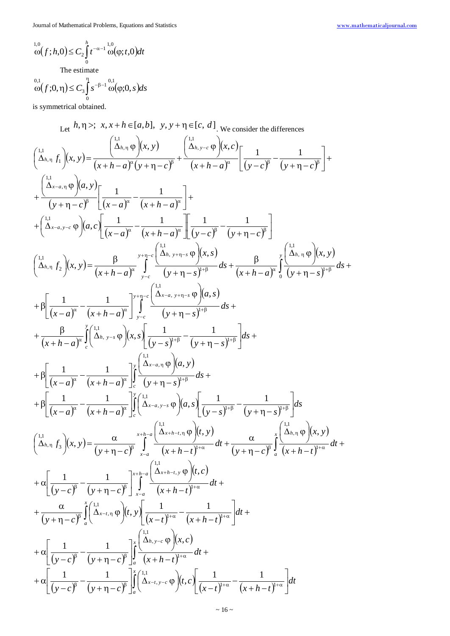$$
L_{0}^{1,0}(f;h,0) \leq C_{2} \int_{0}^{h} t^{-\alpha-1} \omega(\varphi;t,0) dt
$$
  
The estimate  

$$
\omega(f;0,\eta) \leq C_{3} \int_{0}^{\eta} s^{-\beta-1} \omega(\varphi;0,s) ds
$$

3

 $\boldsymbol{0}$ is symmetrical obtained.

Let 
$$
h, \eta >; x, x + h \in [a, b], y, y + \eta \in [c, d]
$$
, we consider the differences  
\n
$$
\begin{pmatrix}\n\frac{1}{\Delta_{h, \eta}} \int_{0}^{1} (x, y) dx = \frac{1}{(x + h - a)^{n} (y + \eta - c)^{n}} + \frac{1}{(x + h - a)^{n} (x, c)} \left[ \frac{1}{(y - c)^{n}} - \frac{1}{(y + \eta - c)^{n}} \right] + \frac{1}{(y + \eta - c)^{n}} \left[ \frac{1}{(x - a)^{n}} - \frac{1}{(x + h - a)^{n}} \right] + \frac{1}{(y + \eta - c)^{n}} \left[ \frac{1}{(x - a)^{n}} - \frac{1}{(x + h - a)^{n}} \right] + \frac{1}{(y + \eta - c)^{n}} \left[ \frac{1}{(x - a)^{n}} - \frac{1}{(x + h - a)^{n}} \right] + \frac{1}{(y + \eta - c)^{n}} \left[ \frac{1}{(y - c)^{n}} - \frac{1}{(y + \eta - c)^{n}} \right]
$$
\n
$$
\begin{pmatrix}\n\frac{1}{\Delta_{h, \eta}} \int_{0}^{1} (x, y) dx = \frac{\beta}{(x + h - a)^{n}} \int_{y - c}^{y + \eta - c} \frac{1}{(x + h - a)^{n}} \int_{y - c}^{y + \eta - c} \frac{1}{(y + \eta - c)^{n + p}} dx + \frac{\beta}{(x + h - a)^{n}} \int_{0}^{x + \eta - c} \frac{1}{(y + h - a)^{n}} \int_{y - c}^{x + h - c} \frac{1}{(y + \eta - s)^{n + p}} dx + \frac{\beta}{(x + h - a)^{n}} \left[ \frac{1}{(x - a)^{n}} - \frac{1}{(x + h - a)^{n}} \right]_{y - c}^{x + \eta - c} \left[ \frac{1}{(x - a)^{n + p}} \left[ \frac{1}{(x + h - a)^{n}} \int_{y - c}^{y + \eta - c} \frac{1}{(y + \eta - s)^{n + p}} dx + \frac{\beta}{(x + h - a)^{n}} \int_{c} \frac{1}{(x + h - a)^{n}} \int_{y - c}^{z + \eta - c} \frac{1}{
$$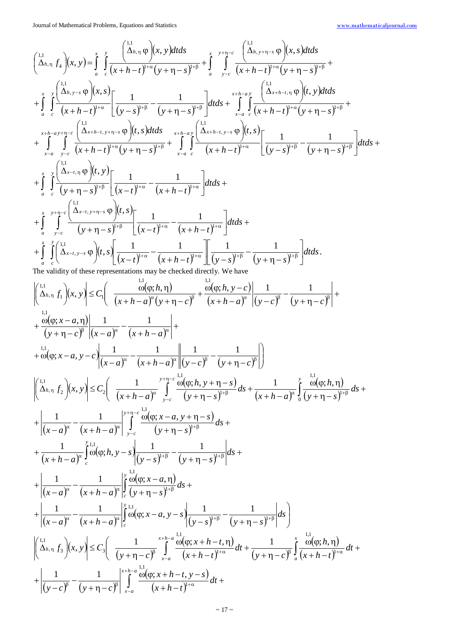$$
\begin{cases}\n\frac{1}{\Delta_{b,n}}\int_{S}\left[x,y\right] = \int_{0}^{z_{n}}\int_{C}\frac{\left[\frac{1}{\Delta_{b,n}}\phi_{p}\right](x,y)dx}{\left(x+h-r\right)^{n+\alpha}\left(y+\eta-s\right)^{n+\beta}}+\int_{0}^{z_{n}}\int_{y-c}^{z_{n}}\frac{\left[\frac{1}{\Delta_{b,n}}\phi_{p}\right](x,y)dx}{\left(x+h-r\right)^{n+\alpha}\left(y+\eta-s\right)^{n+\beta}}+\int_{0}^{z_{n}}\int_{y-c}^{z_{n}}\frac{\left(\frac{1}{\Delta_{b,n}}\phi_{p}\right)(x,y)dx}{\left(x+h-r\right)^{n+\alpha}\left(y+\eta-s\right)^{n+\beta}}+\int_{0}^{z_{n}}\int_{C}\frac{\left(\frac{1}{\Delta_{b,n}}\phi_{p}\right)(x,y)dx}{\left(x+h-r\right)^{n+\alpha}\left(y+\eta-s\right)^{n+\beta}}+\int_{0}^{z_{n}}\int_{C}\frac{\left(\frac{1}{\Delta_{b,n}}\phi_{p}\right)(x,y)dx}{\left(x+h-r\right)^{n+\alpha}\left(y+\eta-s\right)^{n+\beta}}+\int_{0}^{z_{n}}\int_{C}\frac{\left(\frac{1}{\Delta_{b,n}}\phi_{p}\right)(x,y)dx}{\left(x+h-r\right)^{n+\alpha}\left(y+\eta-s\right)^{n+\beta}}+\int_{0}^{z_{n}}\int_{C}\frac{\left(\frac{1}{\Delta_{b,n}}\phi_{p}\right)(x,y)dx}{\left(y+\eta-s\right)^{n+\beta}}+\int_{0}^{z_{n}}\frac{\left[\frac{1}{\Delta_{b,n}}\phi_{p}\right](x,y)dx}{\left(y+\eta-s\right)^{n+\beta}\left[\frac{1}{\left(x-r\right)^{n+\alpha}}-\frac{1}{\left(x+h-r\right)^{n+\alpha}}\right]dtds+\int_{0}^{z_{n}}\int_{C}\frac{\left[\frac{1}{\left(x+h-r\right)^{n+\alpha}}\phi_{p}\right](x,y)dx}{\left(x+h-r\right)^{n+\alpha}\left[\frac{1}{\left(x+h-r\right)^{n+\alpha}}\right]dtds+\int_{0}^{z_{n}}\int_{C}\frac{\left[\frac{1}{\left(x+h-r\right)^{n+\alpha}}\phi_{p}\right](x,y)dx}{\left(x+h-r\right)^{n+\alpha}\left[\frac{1}{\left(x+h-r\right)^{n+\alpha}}\
$$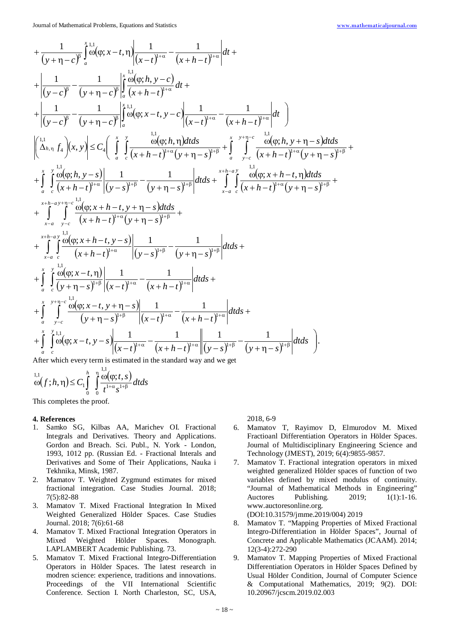$$
+\frac{1}{(y+\eta-c)^{\beta}}\int_{a}^{x} \frac{1}{\omega}(\varphi; x-t, \eta) \frac{1}{(x-t)^{i+\alpha}} - \frac{1}{(x+h-t)^{i+\alpha}} dt +
$$
  
+ 
$$
\frac{1}{(y-c)^{\beta}} - \frac{1}{(y+\eta-c)^{\beta}} \int_{a}^{x} \frac{\omega(\varphi; h, y-c)}{(x+h-t)^{i+\alpha}} dt +
$$
  
+ 
$$
\frac{1}{(y-c)^{\beta}} - \frac{1}{(y+\eta-c)^{\beta}} \int_{a}^{x} \frac{\omega(\varphi; h, \eta) dt}{(\omega(\varphi; x-t, y-c)} \frac{1}{(x-t)^{i+\alpha}} - \frac{1}{(x+h-t)^{i+\alpha}} dt
$$
  
+ 
$$
\frac{1}{(\Delta_{h,\eta} f_{4})}(x, y) \leq C_{4} \int_{a}^{x} \int_{c}^{y} \frac{\omega(\varphi; h, \eta) dt ds}{(x+h-t)^{i+\alpha}(y+\eta-s)^{i+\beta}} + \int_{a}^{y} \int_{y-c}^{x} \frac{\omega(\varphi; h, y+\eta-s) dt ds}{(\omega(h, y+\eta-s)^{i+\beta}} +
$$
  
+ 
$$
\int_{a}^{x} \int_{c}^{xL} \frac{\omega(\varphi; h, y-s)}{(x+h-t)^{i+\alpha}} \frac{1}{(y-s)^{i+\beta}} - \frac{1}{(y+\eta-s)^{i+\beta}} dt ds + \int_{x-a}^{x+h-\alpha} \int_{c}^{xL} \frac{\omega(\varphi; x+h-t, \eta) dt ds}{(x+h-t)^{i+\alpha}(y+\eta-s)^{i+\beta}} +
$$
  
+ 
$$
\int_{x-a}^{x+h-\alpha} \int_{y-c}^{xL} \frac{\omega(\varphi; x+h-t, y+\eta-s) dt ds}{(\omega(t,x+h-t)^{i+\alpha})(y+\eta-s)^{i+\beta}} +
$$
  
+ 
$$
\int_{x-a}^{x+h-\alpha} \int_{c}^{xL} \frac{\omega(\varphi; x+h-t, y-s)}{(\omega(t,x+h-t)^{i+\alpha})(y-s)^{i+\beta}} dt ds +
$$
  
+ 
$$
\int_{a}^{x} \int_{c}^{xL} \frac{\omega(\varphi; x-t, \eta)}{(\omega(t,x-t, y-s)^{i+\beta})(x-t)^{i+\alpha}} - \frac{1}{(x+h-t)^{i+\alpha}} dt ds +
$$

After which every term is estimated in the standard way and we get 1,1

$$
\bigodot^{1,1}(f;h,\eta) \leq C_1 \int\limits_0^h \int\limits_0^{\eta} \frac{\omega(\varphi;t,s)}{t^{1+\alpha} s^{1+\beta}} dt ds
$$

This completes the proof.

#### **4. References**

- 1. Samko SG, Kilbas AA, Marichev OI. Fractional Integrals and Derivatives. Theory and Applications. Gordon and Breach. Sci. Publ., N. York - London, 1993, 1012 pp. (Russian Ed. - Fractional Interals and Derivatives and Some of Their Applications, Nauka i Tekhnika, Minsk, 1987.
- 2. Mamatov T. Weighted Zygmund estimates for mixed fractional integration. Case Studies Journal. 2018; 7(5):82-88
- 3. Mamatov T. Mixed Fractional Integration In Mixed Weighted Generalized Hölder Spaces. Case Studies Journal. 2018; 7(6):61-68
- 4. Mamatov T. Mixed Fractional Integration Operators in Mixed Weighted Hölder Spaces. Monograph. LAPLAMBERT Academic Publishing. 73.
- 5. Mamatov T. Mixed Fractional Integro-Differentiation Operators in Hölder Spaces. The latest research in modren science: experience, traditions and innovations. Proceedings of the VII International Scientific Conference. Section I. North Charleston, SC, USA,

2018, 6-9

- 6. Mamatov T, Rayimov D, Elmurodov M. Mixed Fractioanl Differentiation Operators in Hölder Spaces. Journal of Multidisciplinary Engineering Science and Technology (JMEST), 2019; 6(4):9855-9857.
- 7. Mamatov T. Fractional integration operators in mixed weighted generalized Hölder spaces of function of two variables defined by mixed modulus of continuity. "Journal of Mathematical Methods in Engineering" Auctores Publishing. 2019; 1(1):1-16. www.auctoresonline.org.

(DOI:10.31579/jmme.2019/004) 2019

- 8. Mamatov T. "Mapping Properties of Mixed Fractional Integro-Differentiation in Hölder Spaces", Journal of Concrete and Applicable Mathematics (JCAAM). 2014; 12(3-4):272-290
- 9. Mamatov T. Mapping Properties of Mixed Fractional Differentiation Operators in Hölder Spaces Defined by Usual Hölder Condition, Journal of Computer Science & Computational Mathematics, 2019; 9(2). DOI: 10.20967/jcscm.2019.02.003